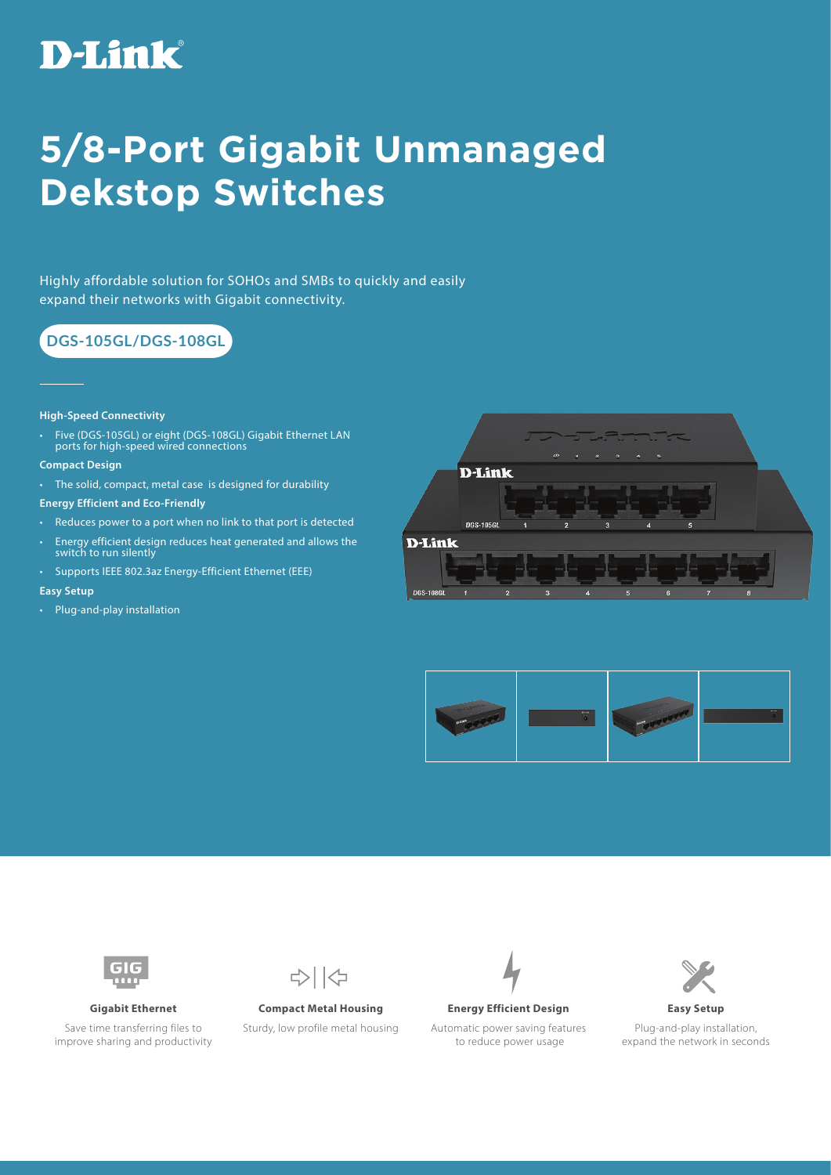## **D-Link**

# **5/8-Port Gigabit Unmanaged Dekstop Switches**

Highly affordable solution for SOHOs and SMBs to quickly and easily expand their networks with Gigabit connectivity.

## **DGS-105GL/DGS-108GL**

#### **High-Speed Connectivity**

• Five (DGS-105GL) or eight (DGS-108GL) Gigabit Ethernet LAN ports for high-speed wired connections

#### **Compact Design**

• The solid, compact, metal case is designed for durability

### **Energy Efficient and Eco-Friendly**

- Reduces power to a port when no link to that port is detected
- Energy efficient design reduces heat generated and allows the switch to run silently
- Supports IEEE 802.3az Energy-Efficient Ethernet (EEE)

### **Easy Setup**

• Plug-and-play installation







Save time transferring files to improve sharing and productivity





### **Gigabit Ethernet Compact Metal Housing Energy Efficient Design Easy Setup**

Sturdy, low profile metal housing Automatic power saving features to reduce power usage



Plug-and-play installation, expand the network in seconds